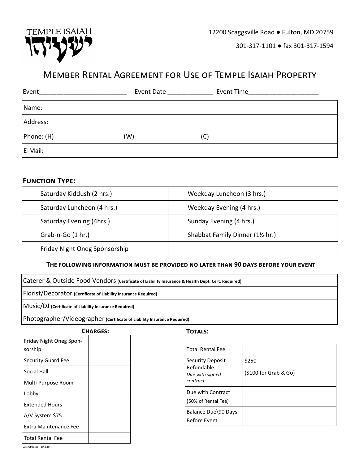

301-317-1101 ● fax 301-317-1594

# Member Rental Agreement for Use of Temple Isaiah Property

| Event      | Event Date | Event Time |
|------------|------------|------------|
| Name:      |            |            |
| Address:   |            |            |
| Phone: (H) | (W)        | (C)        |
| E-Mail:    |            |            |

## **Function Type:**

| Saturday Kiddush (2 hrs.)     |  | Weekday Luncheon (3 hrs.)      |  |
|-------------------------------|--|--------------------------------|--|
| Saturday Luncheon (4 hrs.)    |  | Weekday Evening (4 hrs.)       |  |
| Saturday Evening (4hrs.)      |  | Sunday Evening (4 hrs.)        |  |
| $Grab-n-Go(1 hr.)$            |  | Shabbat Family Dinner (1½ hr.) |  |
| Friday Night Oneg Sponsorship |  |                                |  |

### **The following information must be provided no later than 90 days before your event**

Caterer & Outside Food Vendors **(Certificate of Liability Insurance & Health Dept. Cert. Required)**

Florist/Decorator **(Certificate of Liability Insurance Required)**

Music/DJ **(Certificate of Liability Insurance Required)**

Photographer/Videographer **(Certificate of Liability Insurance Required)**

Friday Night Oneg Sponsorship Security Guard Fee Social Hall Multi-Purpose Room Lobby Extended Hours A/V System \$75 Extra Maintenance Fee Total Rental Fee **Charges: Totals:**

| <b>Total Rental Fee</b>                   |                       |
|-------------------------------------------|-----------------------|
| <b>Security Deposit</b>                   | \$250                 |
| Refundable<br>Due with signed<br>contract | (\$100 for Grab & Go) |
| Due with Contract                         |                       |
| (50% of Rental Fee)                       |                       |
| Balance Due\90 Days                       |                       |
| <b>Before Event</b>                       |                       |
|                                           |                       |

Last Updated: 10.2.19